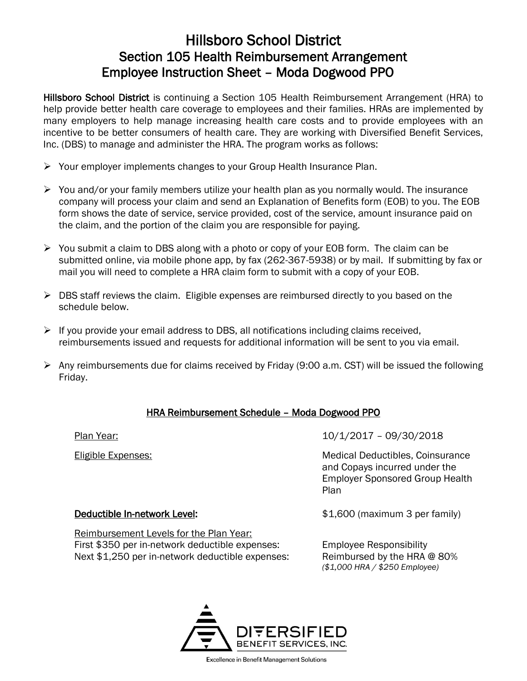# Hillsboro School District Section 105 Health Reimbursement Arrangement Employee Instruction Sheet – Moda Dogwood PPO

Hillsboro School District is continuing a Section 105 Health Reimbursement Arrangement (HRA) to help provide better health care coverage to employees and their families. HRAs are implemented by many employers to help manage increasing health care costs and to provide employees with an incentive to be better consumers of health care. They are working with Diversified Benefit Services, Inc. (DBS) to manage and administer the HRA. The program works as follows:

- ➢ Your employer implements changes to your Group Health Insurance Plan.
- $\triangleright$  You and/or your family members utilize your health plan as you normally would. The insurance company will process your claim and send an Explanation of Benefits form (EOB) to you. The EOB form shows the date of service, service provided, cost of the service, amount insurance paid on the claim, and the portion of the claim you are responsible for paying.
- $\triangleright$  You submit a claim to DBS along with a photo or copy of your EOB form. The claim can be submitted online, via mobile phone app, by fax (262-367-5938) or by mail. If submitting by fax or mail you will need to complete a HRA claim form to submit with a copy of your EOB.
- $\triangleright$  DBS staff reviews the claim. Eligible expenses are reimbursed directly to you based on the schedule below.
- $\triangleright$  If you provide your email address to DBS, all notifications including claims received, reimbursements issued and requests for additional information will be sent to you via email.
- $\triangleright$  Any reimbursements due for claims received by Friday (9:00 a.m. CST) will be issued the following Friday.

### HRA Reimbursement Schedule – Moda Dogwood PPO

Plan Year: 10/1/2017 – 09/30/2018

Eligible Expenses: Medical Deductibles, Coinsurance and Copays incurred under the Employer Sponsored Group Health Plan

#### Deductible In-network Level:  $$1,600$  (maximum 3 per family)

Reimbursement Levels for the Plan Year: First \$350 per in-network deductible expenses: Employee Responsibility Next \$1,250 per in-network deductible expenses: Reimbursed by the HRA @ 80%

*(\$1,000 HRA / \$250 Employee)*



Excellence in Benefit Management Solutions